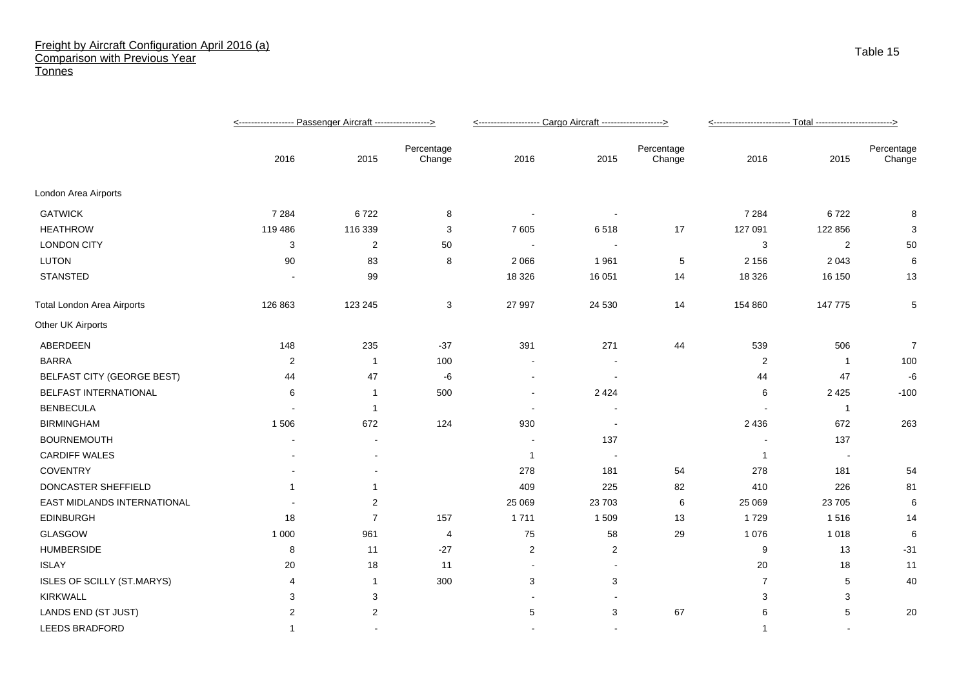## Freight by Aircraft Configuration April 2016 (a) Comparison with Previous Year **Tonnes**

|                                   |                |                |                      | <-------------------- Cargo Aircraft -------------------> |                |                      | <------------------------- Total ------------------------> |                |                      |
|-----------------------------------|----------------|----------------|----------------------|-----------------------------------------------------------|----------------|----------------------|------------------------------------------------------------|----------------|----------------------|
|                                   | 2016           | 2015           | Percentage<br>Change | 2016                                                      | 2015           | Percentage<br>Change | 2016                                                       | 2015           | Percentage<br>Change |
| London Area Airports              |                |                |                      |                                                           |                |                      |                                                            |                |                      |
| <b>GATWICK</b>                    | 7 2 8 4        | 6722           | 8                    |                                                           |                |                      | 7 2 8 4                                                    | 6722           | 8                    |
| <b>HEATHROW</b>                   | 119 486        | 116 339        | 3                    | 7605                                                      | 6518           | 17                   | 127 091                                                    | 122 856        | 3                    |
| <b>LONDON CITY</b>                | 3              | $\overline{2}$ | 50                   | $\blacksquare$                                            |                |                      | 3                                                          | $\overline{2}$ | 50                   |
| <b>LUTON</b>                      | 90             | 83             | 8                    | 2 0 6 6                                                   | 1961           | $\sqrt{5}$           | 2 1 5 6                                                    | 2 0 4 3        | 6                    |
| <b>STANSTED</b>                   |                | 99             |                      | 18 3 26                                                   | 16 051         | 14                   | 18 3 26                                                    | 16 150         | 13                   |
| <b>Total London Area Airports</b> | 126 863        | 123 245        | 3                    | 27 997                                                    | 24 530         | 14                   | 154 860                                                    | 147 775        | 5                    |
| Other UK Airports                 |                |                |                      |                                                           |                |                      |                                                            |                |                      |
| ABERDEEN                          | 148            | 235            | $-37$                | 391                                                       | 271            | 44                   | 539                                                        | 506            | $\overline{7}$       |
| <b>BARRA</b>                      | $\overline{2}$ | -1             | 100                  |                                                           |                |                      | $\overline{2}$                                             | $\overline{1}$ | 100                  |
| <b>BELFAST CITY (GEORGE BEST)</b> | 44             | 47             | -6                   | $\overline{\phantom{a}}$                                  |                |                      | 44                                                         | 47             | -6                   |
| BELFAST INTERNATIONAL             | 6              | $\overline{1}$ | 500                  | $\sim$                                                    | 2 4 2 4        |                      | 6                                                          | 2 4 2 5        | $-100$               |
| <b>BENBECULA</b>                  |                | -1             |                      | $\overline{\phantom{a}}$                                  |                |                      |                                                            | $\overline{1}$ |                      |
| <b>BIRMINGHAM</b>                 | 1506           | 672            | 124                  | 930                                                       |                |                      | 2 4 3 6                                                    | 672            | 263                  |
| <b>BOURNEMOUTH</b>                |                |                |                      |                                                           | 137            |                      |                                                            | 137            |                      |
| <b>CARDIFF WALES</b>              |                |                |                      | $\mathbf{1}$                                              | $\sim$         |                      | $\overline{1}$                                             | $\sim$         |                      |
| <b>COVENTRY</b>                   |                |                |                      | 278                                                       | 181            | 54                   | 278                                                        | 181            | 54                   |
| DONCASTER SHEFFIELD               | $\overline{1}$ | $\mathbf{1}$   |                      | 409                                                       | 225            | 82                   | 410                                                        | 226            | 81                   |
| EAST MIDLANDS INTERNATIONAL       |                | 2              |                      | 25 069                                                    | 23 703         | 6                    | 25 069                                                     | 23 705         | 6                    |
| <b>EDINBURGH</b>                  | 18             | $\overline{7}$ | 157                  | 1711                                                      | 1509           | 13                   | 1729                                                       | 1516           | 14                   |
| GLASGOW                           | 1 0 0 0        | 961            | 4                    | ${\bf 75}$                                                | 58             | 29                   | 1 0 7 6                                                    | 1 0 1 8        | 6                    |
| <b>HUMBERSIDE</b>                 | 8              | 11             | $-27$                | $\overline{c}$                                            | $\overline{2}$ |                      | 9                                                          | 13             | $-31$                |
| <b>ISLAY</b>                      | 20             | 18             | 11                   | $\overline{\phantom{a}}$                                  |                |                      | 20                                                         | 18             | 11                   |
| ISLES OF SCILLY (ST.MARYS)        | $\overline{4}$ | $\mathbf 1$    | 300                  | 3                                                         | 3              |                      | $\overline{7}$                                             | 5              | 40                   |
| <b>KIRKWALL</b>                   | 3              | 3              |                      |                                                           |                |                      | 3                                                          | 3              |                      |
| LANDS END (ST JUST)               | 2              | 2              |                      | 5                                                         | 3              | 67                   | 6                                                          | 5              | 20                   |
| LEEDS BRADFORD                    | -1             | $\sim$         |                      |                                                           | $\overline{a}$ |                      | $\overline{1}$                                             | $\sim$         |                      |